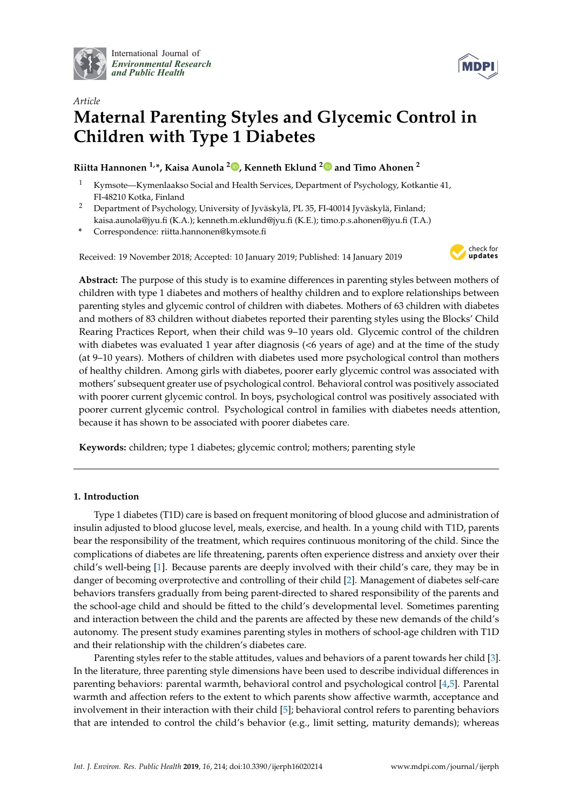

International Journal of *[Environmental Research](http://www.mdpi.com/journal/ijerph) and Public Health*



# *Article* **Maternal Parenting Styles and Glycemic Control in Children with Type 1 Diabetes**

## **Riitta Hannonen 1,\*, Kaisa Aunola <sup>2</sup> [,](https://orcid.org/0000-0001-8866-6736) Kenneth Eklund [2](https://orcid.org/0000-0003-3416-4700) and Timo Ahonen <sup>2</sup>**

- <sup>1</sup> Kymsote—Kymenlaakso Social and Health Services, Department of Psychology, Kotkantie 41, FI-48210 Kotka, Finland
- <sup>2</sup> Department of Psychology, University of Jyväskylä, PL 35, FI-40014 Jyväskylä, Finland; kaisa.aunola@jyu.fi (K.A.); kenneth.m.eklund@jyu.fi (K.E.); timo.p.s.ahonen@jyu.fi (T.A.)
- **\*** Correspondence: riitta.hannonen@kymsote.fi

Received: 19 November 2018; Accepted: 10 January 2019; Published: 14 January 2019



**Abstract:** The purpose of this study is to examine differences in parenting styles between mothers of children with type 1 diabetes and mothers of healthy children and to explore relationships between parenting styles and glycemic control of children with diabetes. Mothers of 63 children with diabetes and mothers of 83 children without diabetes reported their parenting styles using the Blocks' Child Rearing Practices Report, when their child was 9–10 years old. Glycemic control of the children with diabetes was evaluated 1 year after diagnosis (<6 years of age) and at the time of the study (at 9–10 years). Mothers of children with diabetes used more psychological control than mothers of healthy children. Among girls with diabetes, poorer early glycemic control was associated with mothers' subsequent greater use of psychological control. Behavioral control was positively associated with poorer current glycemic control. In boys, psychological control was positively associated with poorer current glycemic control. Psychological control in families with diabetes needs attention, because it has shown to be associated with poorer diabetes care.

**Keywords:** children; type 1 diabetes; glycemic control; mothers; parenting style

### **1. Introduction**

Type 1 diabetes (T1D) care is based on frequent monitoring of blood glucose and administration of insulin adjusted to blood glucose level, meals, exercise, and health. In a young child with T1D, parents bear the responsibility of the treatment, which requires continuous monitoring of the child. Since the complications of diabetes are life threatening, parents often experience distress and anxiety over their child's well-being [\[1\]](#page-6-0). Because parents are deeply involved with their child's care, they may be in danger of becoming overprotective and controlling of their child [\[2\]](#page-6-1). Management of diabetes self-care behaviors transfers gradually from being parent-directed to shared responsibility of the parents and the school-age child and should be fitted to the child's developmental level. Sometimes parenting and interaction between the child and the parents are affected by these new demands of the child's autonomy. The present study examines parenting styles in mothers of school-age children with T1D and their relationship with the children's diabetes care.

Parenting styles refer to the stable attitudes, values and behaviors of a parent towards her child [\[3\]](#page-6-2). In the literature, three parenting style dimensions have been used to describe individual differences in parenting behaviors: parental warmth, behavioral control and psychological control [\[4,](#page-6-3)[5\]](#page-6-4). Parental warmth and affection refers to the extent to which parents show affective warmth, acceptance and involvement in their interaction with their child [\[5\]](#page-6-4); behavioral control refers to parenting behaviors that are intended to control the child's behavior (e.g., limit setting, maturity demands); whereas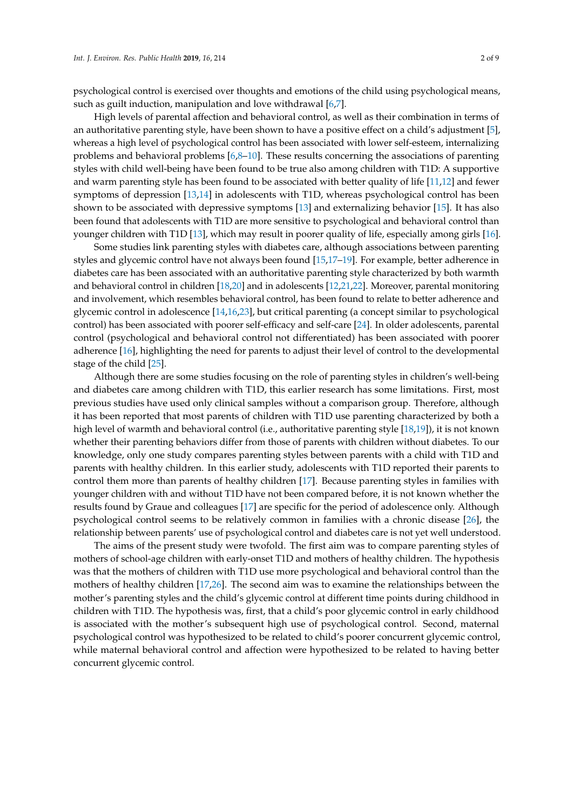psychological control is exercised over thoughts and emotions of the child using psychological means, such as guilt induction, manipulation and love withdrawal [\[6](#page-6-5)[,7\]](#page-6-6).

High levels of parental affection and behavioral control, as well as their combination in terms of an authoritative parenting style, have been shown to have a positive effect on a child's adjustment [\[5\]](#page-6-4), whereas a high level of psychological control has been associated with lower self-esteem, internalizing problems and behavioral problems  $[6,8-10]$  $[6,8-10]$  $[6,8-10]$ . These results concerning the associations of parenting styles with child well-being have been found to be true also among children with T1D: A supportive and warm parenting style has been found to be associated with better quality of life [\[11,](#page-7-0)[12\]](#page-7-1) and fewer symptoms of depression [\[13](#page-7-2)[,14\]](#page-7-3) in adolescents with T1D, whereas psychological control has been shown to be associated with depressive symptoms [\[13\]](#page-7-2) and externalizing behavior [\[15\]](#page-7-4). It has also been found that adolescents with T1D are more sensitive to psychological and behavioral control than younger children with T1D [\[13\]](#page-7-2), which may result in poorer quality of life, especially among girls [\[16\]](#page-7-5).

Some studies link parenting styles with diabetes care, although associations between parenting styles and glycemic control have not always been found [\[15](#page-7-4)[,17–](#page-7-6)[19\]](#page-7-7). For example, better adherence in diabetes care has been associated with an authoritative parenting style characterized by both warmth and behavioral control in children [\[18,](#page-7-8)[20\]](#page-7-9) and in adolescents [\[12](#page-7-1)[,21](#page-7-10)[,22\]](#page-7-11). Moreover, parental monitoring and involvement, which resembles behavioral control, has been found to relate to better adherence and glycemic control in adolescence [\[14,](#page-7-3)[16](#page-7-5)[,23\]](#page-7-12), but critical parenting (a concept similar to psychological control) has been associated with poorer self-efficacy and self-care [\[24\]](#page-7-13). In older adolescents, parental control (psychological and behavioral control not differentiated) has been associated with poorer adherence [\[16\]](#page-7-5), highlighting the need for parents to adjust their level of control to the developmental stage of the child [\[25\]](#page-7-14).

Although there are some studies focusing on the role of parenting styles in children's well-being and diabetes care among children with T1D, this earlier research has some limitations. First, most previous studies have used only clinical samples without a comparison group. Therefore, although it has been reported that most parents of children with T1D use parenting characterized by both a high level of warmth and behavioral control (i.e., authoritative parenting style [\[18](#page-7-8)[,19\]](#page-7-7)), it is not known whether their parenting behaviors differ from those of parents with children without diabetes. To our knowledge, only one study compares parenting styles between parents with a child with T1D and parents with healthy children. In this earlier study, adolescents with T1D reported their parents to control them more than parents of healthy children [\[17\]](#page-7-6). Because parenting styles in families with younger children with and without T1D have not been compared before, it is not known whether the results found by Graue and colleagues [\[17\]](#page-7-6) are specific for the period of adolescence only. Although psychological control seems to be relatively common in families with a chronic disease [\[26\]](#page-7-15), the relationship between parents' use of psychological control and diabetes care is not yet well understood.

The aims of the present study were twofold. The first aim was to compare parenting styles of mothers of school-age children with early-onset T1D and mothers of healthy children. The hypothesis was that the mothers of children with T1D use more psychological and behavioral control than the mothers of healthy children [\[17,](#page-7-6)[26\]](#page-7-15). The second aim was to examine the relationships between the mother's parenting styles and the child's glycemic control at different time points during childhood in children with T1D. The hypothesis was, first, that a child's poor glycemic control in early childhood is associated with the mother's subsequent high use of psychological control. Second, maternal psychological control was hypothesized to be related to child's poorer concurrent glycemic control, while maternal behavioral control and affection were hypothesized to be related to having better concurrent glycemic control.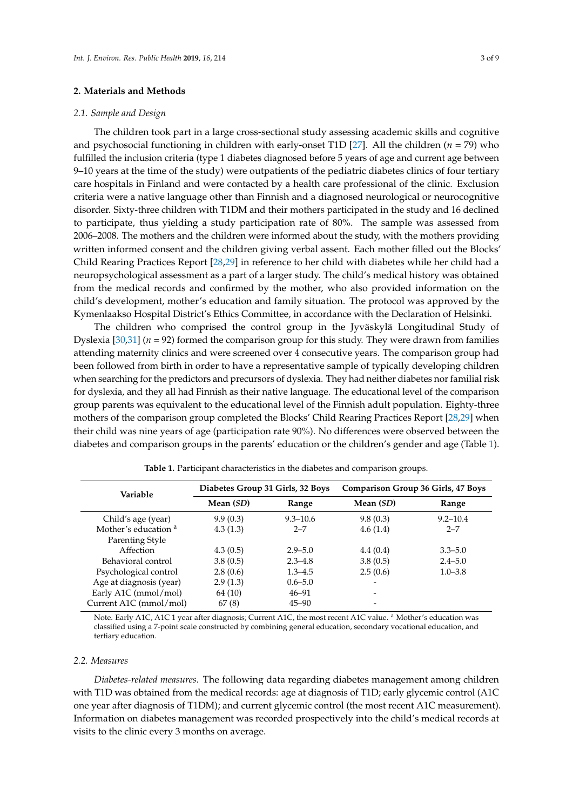#### **2. Materials and Methods**

#### *2.1. Sample and Design*

The children took part in a large cross-sectional study assessing academic skills and cognitive and psychosocial functioning in children with early-onset T1D [\[27\]](#page-7-16). All the children (*n* = 79) who fulfilled the inclusion criteria (type 1 diabetes diagnosed before 5 years of age and current age between 9–10 years at the time of the study) were outpatients of the pediatric diabetes clinics of four tertiary care hospitals in Finland and were contacted by a health care professional of the clinic. Exclusion criteria were a native language other than Finnish and a diagnosed neurological or neurocognitive disorder. Sixty-three children with T1DM and their mothers participated in the study and 16 declined to participate, thus yielding a study participation rate of 80%. The sample was assessed from 2006–2008. The mothers and the children were informed about the study, with the mothers providing written informed consent and the children giving verbal assent. Each mother filled out the Blocks' Child Rearing Practices Report [\[28,](#page-7-17)[29\]](#page-7-18) in reference to her child with diabetes while her child had a neuropsychological assessment as a part of a larger study. The child's medical history was obtained from the medical records and confirmed by the mother, who also provided information on the child's development, mother's education and family situation. The protocol was approved by the Kymenlaakso Hospital District's Ethics Committee, in accordance with the Declaration of Helsinki.

The children who comprised the control group in the Jyväskylä Longitudinal Study of Dyslexia [\[30,](#page-8-0)[31\]](#page-8-1) (*n* = 92) formed the comparison group for this study. They were drawn from families attending maternity clinics and were screened over 4 consecutive years. The comparison group had been followed from birth in order to have a representative sample of typically developing children when searching for the predictors and precursors of dyslexia. They had neither diabetes nor familial risk for dyslexia, and they all had Finnish as their native language. The educational level of the comparison group parents was equivalent to the educational level of the Finnish adult population. Eighty-three mothers of the comparison group completed the Blocks' Child Rearing Practices Report [\[28](#page-7-17)[,29\]](#page-7-18) when their child was nine years of age (participation rate 90%). No differences were observed between the diabetes and comparison groups in the parents' education or the children's gender and age (Table [1\)](#page-2-0).

<span id="page-2-0"></span>

| Variable                        | Diabetes Group 31 Girls, 32 Boys |              | <b>Comparison Group 36 Girls, 47 Boys</b> |              |  |
|---------------------------------|----------------------------------|--------------|-------------------------------------------|--------------|--|
|                                 | Mean (SD)                        | Range        | Mean (SD)                                 | Range        |  |
| Child's age (year)              | 9.9(0.3)                         | $9.3 - 10.6$ | 9.8(0.3)                                  | $9.2 - 10.4$ |  |
| Mother's education <sup>a</sup> | 4.3(1.3)                         | $2 - 7$      | 4.6(1.4)                                  | $2 - 7$      |  |
| Parenting Style                 |                                  |              |                                           |              |  |
| Affection                       | 4.3(0.5)                         | $2.9 - 5.0$  | 4.4(0.4)                                  | $3.3 - 5.0$  |  |
| Behavioral control              | 3.8(0.5)                         | $2.3 - 4.8$  | 3.8(0.5)                                  | $2.4 - 5.0$  |  |
| Psychological control           | 2.8(0.6)                         | $1.3 - 4.5$  | 2.5(0.6)                                  | $1.0 - 3.8$  |  |
| Age at diagnosis (year)         | 2.9(1.3)                         | $0.6 - 5.0$  |                                           |              |  |
| Early A1C (mmol/mol)            | 64 (10)                          | $46 - 91$    |                                           |              |  |
| Current A1C (mmol/mol)          | 67(8)                            | $45 - 90$    |                                           |              |  |

**Table 1.** Participant characteristics in the diabetes and comparison groups.

Note. Early A1C, A1C 1 year after diagnosis; Current A1C, the most recent A1C value. <sup>a</sup> Mother's education was classified using a 7-point scale constructed by combining general education, secondary vocational education, and tertiary education.

#### *2.2. Measures*

*Diabetes-related measures.* The following data regarding diabetes management among children with T1D was obtained from the medical records: age at diagnosis of T1D; early glycemic control (A1C one year after diagnosis of T1DM); and current glycemic control (the most recent A1C measurement). Information on diabetes management was recorded prospectively into the child's medical records at visits to the clinic every 3 months on average.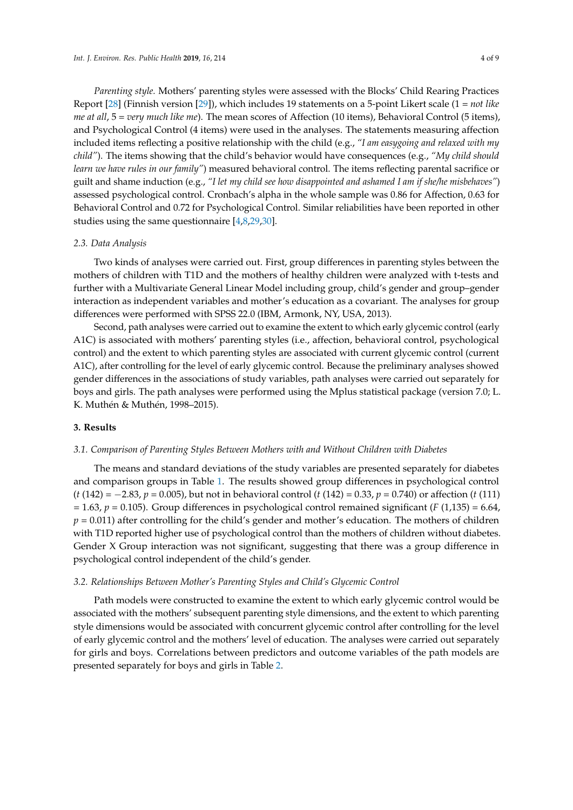*Parenting style.* Mothers' parenting styles were assessed with the Blocks' Child Rearing Practices Report [\[28\]](#page-7-17) (Finnish version [\[29\]](#page-7-18)), which includes 19 statements on a 5-point Likert scale (1 = *not like me at all*, 5 = *very much like me*). The mean scores of Affection (10 items), Behavioral Control (5 items), and Psychological Control (4 items) were used in the analyses. The statements measuring affection included items reflecting a positive relationship with the child (e.g., *"I am easygoing and relaxed with my child"*). The items showing that the child's behavior would have consequences (e.g., *"My child should learn we have rules in our family"*) measured behavioral control. The items reflecting parental sacrifice or guilt and shame induction (e.g., *"I let my child see how disappointed and ashamed I am if she/he misbehaves"*) assessed psychological control. Cronbach's alpha in the whole sample was 0.86 for Affection, 0.63 for Behavioral Control and 0.72 for Psychological Control. Similar reliabilities have been reported in other studies using the same questionnaire [\[4](#page-6-3)[,8](#page-6-7)[,29](#page-7-18)[,30\]](#page-8-0).

#### *2.3. Data Analysis*

Two kinds of analyses were carried out. First, group differences in parenting styles between the mothers of children with T1D and the mothers of healthy children were analyzed with t-tests and further with a Multivariate General Linear Model including group, child's gender and group–gender interaction as independent variables and mother's education as a covariant. The analyses for group differences were performed with SPSS 22.0 (IBM, Armonk, NY, USA, 2013).

Second, path analyses were carried out to examine the extent to which early glycemic control (early A1C) is associated with mothers' parenting styles (i.e., affection, behavioral control, psychological control) and the extent to which parenting styles are associated with current glycemic control (current A1C), after controlling for the level of early glycemic control. Because the preliminary analyses showed gender differences in the associations of study variables, path analyses were carried out separately for boys and girls. The path analyses were performed using the Mplus statistical package (version 7.0; L. K. Muthén & Muthén, 1998–2015).

#### **3. Results**

#### *3.1. Comparison of Parenting Styles Between Mothers with and Without Children with Diabetes*

The means and standard deviations of the study variables are presented separately for diabetes and comparison groups in Table [1.](#page-2-0) The results showed group differences in psychological control (*t* (142) = −2.83, *p* = 0.005), but not in behavioral control (*t* (142) = 0.33, *p* = 0.740) or affection (*t* (111)  $p = 1.63$ ,  $p = 0.105$ ). Group differences in psychological control remained significant (*F* (1,135) = 6.64,  $p = 0.011$ ) after controlling for the child's gender and mother's education. The mothers of children with T1D reported higher use of psychological control than the mothers of children without diabetes. Gender X Group interaction was not significant, suggesting that there was a group difference in psychological control independent of the child's gender.

#### *3.2. Relationships Between Mother's Parenting Styles and Child's Glycemic Control*

Path models were constructed to examine the extent to which early glycemic control would be associated with the mothers' subsequent parenting style dimensions, and the extent to which parenting style dimensions would be associated with concurrent glycemic control after controlling for the level of early glycemic control and the mothers' level of education. The analyses were carried out separately for girls and boys. Correlations between predictors and outcome variables of the path models are presented separately for boys and girls in Table [2.](#page-4-0)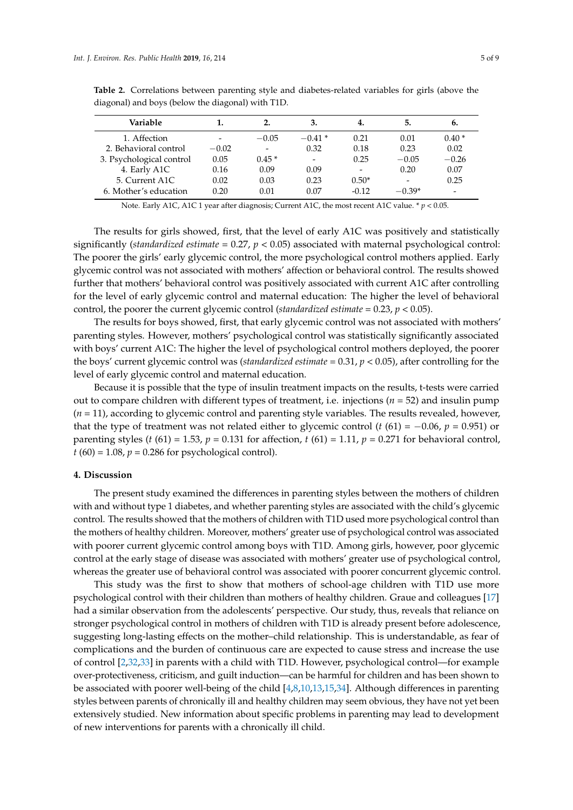| Variable                 | 1.      | 2.                           | 3.                       | 4.                       | 5.                       | ь.                           |
|--------------------------|---------|------------------------------|--------------------------|--------------------------|--------------------------|------------------------------|
| 1. Affection             |         | $-0.05$                      | $-0.41*$                 | 0.21                     | 0.01                     | $0.40*$                      |
| 2. Behavioral control    | $-0.02$ | $\qquad \qquad \blacksquare$ | 0.32                     | 0.18                     | 0.23                     | 0.02                         |
| 3. Psychological control | 0.05    | $0.45*$                      | $\overline{\phantom{a}}$ | 0.25                     | $-0.05$                  | $-0.26$                      |
| 4. Early A1C             | 0.16    | 0.09                         | 0.09                     | $\overline{\phantom{0}}$ | 0.20                     | 0.07                         |
| 5. Current A1C           | 0.02    | 0.03                         | 0.23                     | $0.50*$                  | $\overline{\phantom{0}}$ | 0.25                         |
| 6. Mother's education    | 0.20    | 0.01                         | 0.07                     | $-0.12$                  | $-0.39*$                 | $\qquad \qquad \blacksquare$ |
|                          |         |                              |                          |                          |                          |                              |

<span id="page-4-0"></span>**Table 2.** Correlations between parenting style and diabetes-related variables for girls (above the diagonal) and boys (below the diagonal) with T1D.

Note. Early A1C, A1C 1 year after diagnosis; Current A1C, the most recent A1C value. \* *p* < 0.05.

The results for girls showed, first, that the level of early A1C was positively and statistically significantly (*standardized estimate* = 0.27, *p* < 0.05) associated with maternal psychological control: The poorer the girls' early glycemic control, the more psychological control mothers applied. Early glycemic control was not associated with mothers' affection or behavioral control. The results showed further that mothers' behavioral control was positively associated with current A1C after controlling for the level of early glycemic control and maternal education: The higher the level of behavioral control, the poorer the current glycemic control (*standardized estimate* = 0.23, *p* < 0.05).

The results for boys showed, first, that early glycemic control was not associated with mothers' parenting styles. However, mothers' psychological control was statistically significantly associated with boys' current A1C: The higher the level of psychological control mothers deployed, the poorer the boys' current glycemic control was (*standardized estimate* = 0.31, *p* < 0.05), after controlling for the level of early glycemic control and maternal education.

Because it is possible that the type of insulin treatment impacts on the results, t-tests were carried out to compare children with different types of treatment, i.e. injections (*n* = 52) and insulin pump (*n* = 11), according to glycemic control and parenting style variables. The results revealed, however, that the type of treatment was not related either to glycemic control ( $t$  (61) = −0.06,  $p$  = 0.951) or parenting styles (*t* (61) = 1.53,  $p = 0.131$  for affection,  $t$  (61) = 1.11,  $p = 0.271$  for behavioral control,  $t(60) = 1.08$ ,  $p = 0.286$  for psychological control).

#### **4. Discussion**

The present study examined the differences in parenting styles between the mothers of children with and without type 1 diabetes, and whether parenting styles are associated with the child's glycemic control. The results showed that the mothers of children with T1D used more psychological control than the mothers of healthy children. Moreover, mothers' greater use of psychological control was associated with poorer current glycemic control among boys with T1D. Among girls, however, poor glycemic control at the early stage of disease was associated with mothers' greater use of psychological control, whereas the greater use of behavioral control was associated with poorer concurrent glycemic control.

This study was the first to show that mothers of school-age children with T1D use more psychological control with their children than mothers of healthy children. Graue and colleagues [\[17\]](#page-7-6) had a similar observation from the adolescents' perspective. Our study, thus, reveals that reliance on stronger psychological control in mothers of children with T1D is already present before adolescence, suggesting long-lasting effects on the mother–child relationship. This is understandable, as fear of complications and the burden of continuous care are expected to cause stress and increase the use of control [\[2,](#page-6-1)[32,](#page-8-2)[33\]](#page-8-3) in parents with a child with T1D. However, psychological control—for example over-protectiveness, criticism, and guilt induction—can be harmful for children and has been shown to be associated with poorer well-being of the child [\[4](#page-6-3)[,8](#page-6-7)[,10](#page-6-8)[,13](#page-7-2)[,15,](#page-7-4)[34\]](#page-8-4). Although differences in parenting styles between parents of chronically ill and healthy children may seem obvious, they have not yet been extensively studied. New information about specific problems in parenting may lead to development of new interventions for parents with a chronically ill child.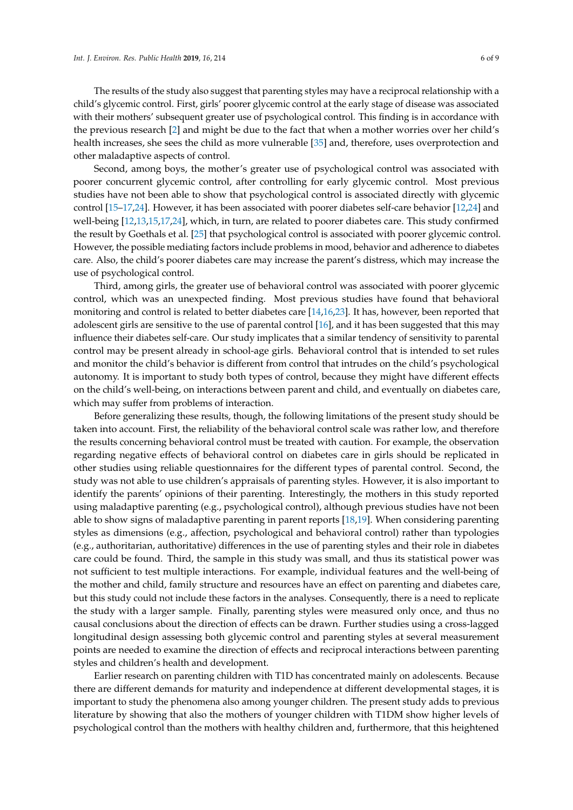The results of the study also suggest that parenting styles may have a reciprocal relationship with a child's glycemic control. First, girls' poorer glycemic control at the early stage of disease was associated with their mothers' subsequent greater use of psychological control. This finding is in accordance with the previous research [\[2\]](#page-6-1) and might be due to the fact that when a mother worries over her child's health increases, she sees the child as more vulnerable [\[35\]](#page-8-5) and, therefore, uses overprotection and other maladaptive aspects of control.

Second, among boys, the mother's greater use of psychological control was associated with poorer concurrent glycemic control, after controlling for early glycemic control. Most previous studies have not been able to show that psychological control is associated directly with glycemic control [\[15–](#page-7-4)[17,](#page-7-6)[24\]](#page-7-13). However, it has been associated with poorer diabetes self-care behavior [\[12](#page-7-1)[,24\]](#page-7-13) and well-being [\[12](#page-7-1)[,13](#page-7-2)[,15](#page-7-4)[,17](#page-7-6)[,24\]](#page-7-13), which, in turn, are related to poorer diabetes care. This study confirmed the result by Goethals et al. [\[25\]](#page-7-14) that psychological control is associated with poorer glycemic control. However, the possible mediating factors include problems in mood, behavior and adherence to diabetes care. Also, the child's poorer diabetes care may increase the parent's distress, which may increase the use of psychological control.

Third, among girls, the greater use of behavioral control was associated with poorer glycemic control, which was an unexpected finding. Most previous studies have found that behavioral monitoring and control is related to better diabetes care [\[14,](#page-7-3)[16](#page-7-5)[,23\]](#page-7-12). It has, however, been reported that adolescent girls are sensitive to the use of parental control [\[16\]](#page-7-5), and it has been suggested that this may influence their diabetes self-care. Our study implicates that a similar tendency of sensitivity to parental control may be present already in school-age girls. Behavioral control that is intended to set rules and monitor the child's behavior is different from control that intrudes on the child's psychological autonomy. It is important to study both types of control, because they might have different effects on the child's well-being, on interactions between parent and child, and eventually on diabetes care, which may suffer from problems of interaction.

Before generalizing these results, though, the following limitations of the present study should be taken into account. First, the reliability of the behavioral control scale was rather low, and therefore the results concerning behavioral control must be treated with caution. For example, the observation regarding negative effects of behavioral control on diabetes care in girls should be replicated in other studies using reliable questionnaires for the different types of parental control. Second, the study was not able to use children's appraisals of parenting styles. However, it is also important to identify the parents' opinions of their parenting. Interestingly, the mothers in this study reported using maladaptive parenting (e.g., psychological control), although previous studies have not been able to show signs of maladaptive parenting in parent reports [\[18](#page-7-8)[,19\]](#page-7-7). When considering parenting styles as dimensions (e.g., affection, psychological and behavioral control) rather than typologies (e.g., authoritarian, authoritative) differences in the use of parenting styles and their role in diabetes care could be found. Third, the sample in this study was small, and thus its statistical power was not sufficient to test multiple interactions. For example, individual features and the well-being of the mother and child, family structure and resources have an effect on parenting and diabetes care, but this study could not include these factors in the analyses. Consequently, there is a need to replicate the study with a larger sample. Finally, parenting styles were measured only once, and thus no causal conclusions about the direction of effects can be drawn. Further studies using a cross-lagged longitudinal design assessing both glycemic control and parenting styles at several measurement points are needed to examine the direction of effects and reciprocal interactions between parenting styles and children's health and development.

Earlier research on parenting children with T1D has concentrated mainly on adolescents. Because there are different demands for maturity and independence at different developmental stages, it is important to study the phenomena also among younger children. The present study adds to previous literature by showing that also the mothers of younger children with T1DM show higher levels of psychological control than the mothers with healthy children and, furthermore, that this heightened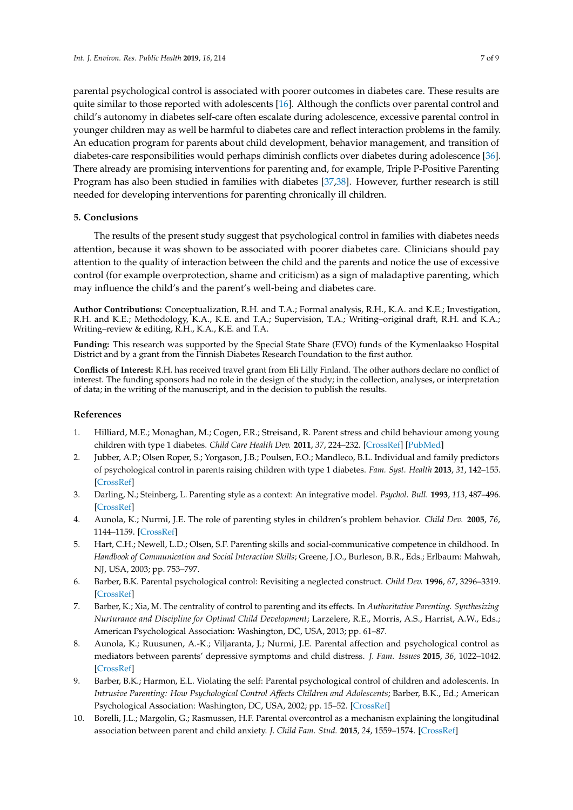parental psychological control is associated with poorer outcomes in diabetes care. These results are quite similar to those reported with adolescents [\[16\]](#page-7-5). Although the conflicts over parental control and child's autonomy in diabetes self-care often escalate during adolescence, excessive parental control in younger children may as well be harmful to diabetes care and reflect interaction problems in the family. An education program for parents about child development, behavior management, and transition of diabetes-care responsibilities would perhaps diminish conflicts over diabetes during adolescence [\[36\]](#page-8-6). There already are promising interventions for parenting and, for example, Triple P-Positive Parenting Program has also been studied in families with diabetes [\[37,](#page-8-7)[38\]](#page-8-8). However, further research is still needed for developing interventions for parenting chronically ill children.

#### **5. Conclusions**

The results of the present study suggest that psychological control in families with diabetes needs attention, because it was shown to be associated with poorer diabetes care. Clinicians should pay attention to the quality of interaction between the child and the parents and notice the use of excessive control (for example overprotection, shame and criticism) as a sign of maladaptive parenting, which may influence the child's and the parent's well-being and diabetes care.

**Author Contributions:** Conceptualization, R.H. and T.A.; Formal analysis, R.H., K.A. and K.E.; Investigation, R.H. and K.E.; Methodology, K.A., K.E. and T.A.; Supervision, T.A.; Writing–original draft, R.H. and K.A.; Writing–review & editing, R.H., K.A., K.E. and T.A.

**Funding:** This research was supported by the Special State Share (EVO) funds of the Kymenlaakso Hospital District and by a grant from the Finnish Diabetes Research Foundation to the first author.

**Conflicts of Interest:** R.H. has received travel grant from Eli Lilly Finland. The other authors declare no conflict of interest. The funding sponsors had no role in the design of the study; in the collection, analyses, or interpretation of data; in the writing of the manuscript, and in the decision to publish the results.

#### **References**

- <span id="page-6-0"></span>1. Hilliard, M.E.; Monaghan, M.; Cogen, F.R.; Streisand, R. Parent stress and child behaviour among young children with type 1 diabetes. *Child Care Health Dev.* **2011**, *37*, 224–232. [\[CrossRef\]](http://dx.doi.org/10.1111/j.1365-2214.2010.01162.x) [\[PubMed\]](http://www.ncbi.nlm.nih.gov/pubmed/21083686)
- <span id="page-6-1"></span>2. Jubber, A.P.; Olsen Roper, S.; Yorgason, J.B.; Poulsen, F.O.; Mandleco, B.L. Individual and family predictors of psychological control in parents raising children with type 1 diabetes. *Fam. Syst. Health* **2013**, *31*, 142–155. [\[CrossRef\]](http://dx.doi.org/10.1037/a0032498)
- <span id="page-6-2"></span>3. Darling, N.; Steinberg, L. Parenting style as a context: An integrative model. *Psychol. Bull.* **1993**, *113*, 487–496. [\[CrossRef\]](http://dx.doi.org/10.1037/0033-2909.113.3.487)
- <span id="page-6-3"></span>4. Aunola, K.; Nurmi, J.E. The role of parenting styles in children's problem behavior. *Child Dev.* **2005**, *76*, 1144–1159. [\[CrossRef\]](http://dx.doi.org/10.1111/j.1467-8624.2005.00840.x-i1)
- <span id="page-6-4"></span>5. Hart, C.H.; Newell, L.D.; Olsen, S.F. Parenting skills and social-communicative competence in childhood. In *Handbook of Communication and Social Interaction Skills*; Greene, J.O., Burleson, B.R., Eds.; Erlbaum: Mahwah, NJ, USA, 2003; pp. 753–797.
- <span id="page-6-5"></span>6. Barber, B.K. Parental psychological control: Revisiting a neglected construct. *Child Dev.* **1996**, *67*, 3296–3319. [\[CrossRef\]](http://dx.doi.org/10.2307/1131780)
- <span id="page-6-6"></span>7. Barber, K.; Xia, M. The centrality of control to parenting and its effects. In *Authoritative Parenting. Synthesizing Nurturance and Discipline for Optimal Child Development*; Larzelere, R.E., Morris, A.S., Harrist, A.W., Eds.; American Psychological Association: Washington, DC, USA, 2013; pp. 61–87.
- <span id="page-6-7"></span>8. Aunola, K.; Ruusunen, A.-K.; Viljaranta, J.; Nurmi, J.E. Parental affection and psychological control as mediators between parents' depressive symptoms and child distress. *J. Fam. Issues* **2015**, *36*, 1022–1042. [\[CrossRef\]](http://dx.doi.org/10.1177/0192513X13494825)
- 9. Barber, B.K.; Harmon, E.L. Violating the self: Parental psychological control of children and adolescents. In *Intrusive Parenting: How Psychological Control Affects Children and Adolescents; Barber, B.K., Ed.; American* Psychological Association: Washington, DC, USA, 2002; pp. 15–52. [\[CrossRef\]](http://dx.doi.org/10.1037/10422-002)
- <span id="page-6-8"></span>10. Borelli, J.L.; Margolin, G.; Rasmussen, H.F. Parental overcontrol as a mechanism explaining the longitudinal association between parent and child anxiety. *J. Child Fam. Stud.* **2015**, *24*, 1559–1574. [\[CrossRef\]](http://dx.doi.org/10.1007/s10826-014-9960-1)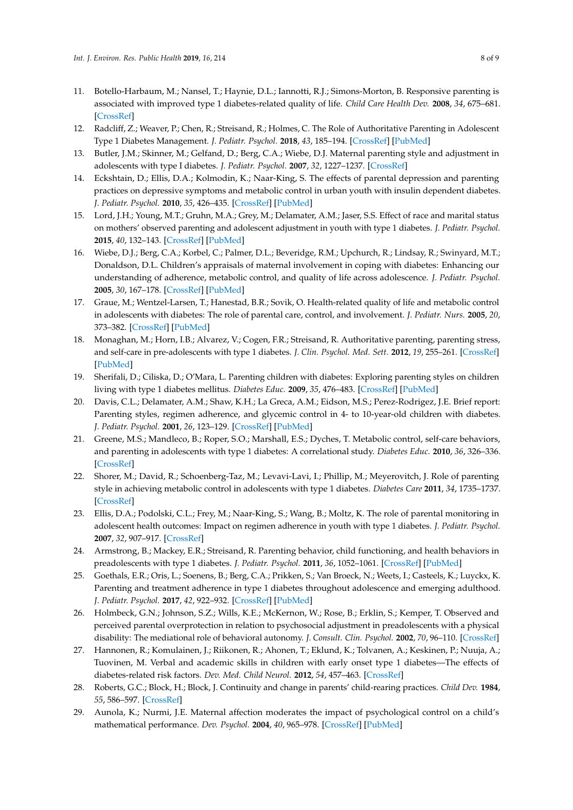- <span id="page-7-0"></span>11. Botello-Harbaum, M.; Nansel, T.; Haynie, D.L.; Iannotti, R.J.; Simons-Morton, B. Responsive parenting is associated with improved type 1 diabetes-related quality of life. *Child Care Health Dev.* **2008**, *34*, 675–681. [\[CrossRef\]](http://dx.doi.org/10.1111/j.1365-2214.2008.00855.x)
- <span id="page-7-1"></span>12. Radcliff, Z.; Weaver, P.; Chen, R.; Streisand, R.; Holmes, C. The Role of Authoritative Parenting in Adolescent Type 1 Diabetes Management. *J. Pediatr. Psychol.* **2018**, *43*, 185–194. [\[CrossRef\]](http://dx.doi.org/10.1093/jpepsy/jsx107) [\[PubMed\]](http://www.ncbi.nlm.nih.gov/pubmed/29048478)
- <span id="page-7-2"></span>13. Butler, J.M.; Skinner, M.; Gelfand, D.; Berg, C.A.; Wiebe, D.J. Maternal parenting style and adjustment in adolescents with type I diabetes. *J. Pediatr. Psychol.* **2007**, *32*, 1227–1237. [\[CrossRef\]](http://dx.doi.org/10.1093/jpepsy/jsm065)
- <span id="page-7-3"></span>14. Eckshtain, D.; Ellis, D.A.; Kolmodin, K.; Naar-King, S. The effects of parental depression and parenting practices on depressive symptoms and metabolic control in urban youth with insulin dependent diabetes. *J. Pediatr. Psychol.* **2010**, *35*, 426–435. [\[CrossRef\]](http://dx.doi.org/10.1093/jpepsy/jsp068) [\[PubMed\]](http://www.ncbi.nlm.nih.gov/pubmed/19710249)
- <span id="page-7-4"></span>15. Lord, J.H.; Young, M.T.; Gruhn, M.A.; Grey, M.; Delamater, A.M.; Jaser, S.S. Effect of race and marital status on mothers' observed parenting and adolescent adjustment in youth with type 1 diabetes. *J. Pediatr. Psychol.* **2015**, *40*, 132–143. [\[CrossRef\]](http://dx.doi.org/10.1093/jpepsy/jsu078) [\[PubMed\]](http://www.ncbi.nlm.nih.gov/pubmed/25248850)
- <span id="page-7-5"></span>16. Wiebe, D.J.; Berg, C.A.; Korbel, C.; Palmer, D.L.; Beveridge, R.M.; Upchurch, R.; Lindsay, R.; Swinyard, M.T.; Donaldson, D.L. Children's appraisals of maternal involvement in coping with diabetes: Enhancing our understanding of adherence, metabolic control, and quality of life across adolescence. *J. Pediatr. Psychol.* **2005**, *30*, 167–178. [\[CrossRef\]](http://dx.doi.org/10.1093/jpepsy/jsi004) [\[PubMed\]](http://www.ncbi.nlm.nih.gov/pubmed/15681311)
- <span id="page-7-6"></span>17. Graue, M.; Wentzel-Larsen, T.; Hanestad, B.R.; Sovik, O. Health-related quality of life and metabolic control in adolescents with diabetes: The role of parental care, control, and involvement. *J. Pediatr. Nurs.* **2005**, *20*, 373–382. [\[CrossRef\]](http://dx.doi.org/10.1016/j.pedn.2005.08.005) [\[PubMed\]](http://www.ncbi.nlm.nih.gov/pubmed/16182097)
- <span id="page-7-8"></span>18. Monaghan, M.; Horn, I.B.; Alvarez, V.; Cogen, F.R.; Streisand, R. Authoritative parenting, parenting stress, and self-care in pre-adolescents with type 1 diabetes. *J. Clin. Psychol. Med. Sett.* **2012**, *19*, 255–261. [\[CrossRef\]](http://dx.doi.org/10.1007/s10880-011-9284-x) [\[PubMed\]](http://www.ncbi.nlm.nih.gov/pubmed/22350495)
- <span id="page-7-7"></span>19. Sherifali, D.; Ciliska, D.; O'Mara, L. Parenting children with diabetes: Exploring parenting styles on children living with type 1 diabetes mellitus. *Diabetes Educ.* **2009**, *35*, 476–483. [\[CrossRef\]](http://dx.doi.org/10.1177/0145721709333268) [\[PubMed\]](http://www.ncbi.nlm.nih.gov/pubmed/19297656)
- <span id="page-7-9"></span>20. Davis, C.L.; Delamater, A.M.; Shaw, K.H.; La Greca, A.M.; Eidson, M.S.; Perez-Rodrigez, J.E. Brief report: Parenting styles, regimen adherence, and glycemic control in 4- to 10-year-old children with diabetes. *J. Pediatr. Psychol.* **2001**, *26*, 123–129. [\[CrossRef\]](http://dx.doi.org/10.1093/jpepsy/26.2.123) [\[PubMed\]](http://www.ncbi.nlm.nih.gov/pubmed/11181888)
- <span id="page-7-10"></span>21. Greene, M.S.; Mandleco, B.; Roper, S.O.; Marshall, E.S.; Dyches, T. Metabolic control, self-care behaviors, and parenting in adolescents with type 1 diabetes: A correlational study. *Diabetes Educ.* **2010**, *36*, 326–336. [\[CrossRef\]](http://dx.doi.org/10.1177/0145721710361270)
- <span id="page-7-11"></span>22. Shorer, M.; David, R.; Schoenberg-Taz, M.; Levavi-Lavi, I.; Phillip, M.; Meyerovitch, J. Role of parenting style in achieving metabolic control in adolescents with type 1 diabetes. *Diabetes Care* **2011**, *34*, 1735–1737. [\[CrossRef\]](http://dx.doi.org/10.2337/dc10-1602)
- <span id="page-7-12"></span>23. Ellis, D.A.; Podolski, C.L.; Frey, M.; Naar-King, S.; Wang, B.; Moltz, K. The role of parental monitoring in adolescent health outcomes: Impact on regimen adherence in youth with type 1 diabetes. *J. Pediatr. Psychol.* **2007**, *32*, 907–917. [\[CrossRef\]](http://dx.doi.org/10.1093/jpepsy/jsm009)
- <span id="page-7-13"></span>24. Armstrong, B.; Mackey, E.R.; Streisand, R. Parenting behavior, child functioning, and health behaviors in preadolescents with type 1 diabetes. *J. Pediatr. Psychol.* **2011**, *36*, 1052–1061. [\[CrossRef\]](http://dx.doi.org/10.1093/jpepsy/jsr039) [\[PubMed\]](http://www.ncbi.nlm.nih.gov/pubmed/21828111)
- <span id="page-7-14"></span>25. Goethals, E.R.; Oris, L.; Soenens, B.; Berg, C.A.; Prikken, S.; Van Broeck, N.; Weets, I.; Casteels, K.; Luyckx, K. Parenting and treatment adherence in type 1 diabetes throughout adolescence and emerging adulthood. *J. Pediatr. Psychol.* **2017**, *42*, 922–932. [\[CrossRef\]](http://dx.doi.org/10.1093/jpepsy/jsx053) [\[PubMed\]](http://www.ncbi.nlm.nih.gov/pubmed/28369579)
- <span id="page-7-15"></span>26. Holmbeck, G.N.; Johnson, S.Z.; Wills, K.E.; McKernon, W.; Rose, B.; Erklin, S.; Kemper, T. Observed and perceived parental overprotection in relation to psychosocial adjustment in preadolescents with a physical disability: The mediational role of behavioral autonomy. *J. Consult. Clin. Psychol.* **2002**, *70*, 96–110. [\[CrossRef\]](http://dx.doi.org/10.1037/0022-006X.70.1.96)
- <span id="page-7-16"></span>27. Hannonen, R.; Komulainen, J.; Riikonen, R.; Ahonen, T.; Eklund, K.; Tolvanen, A.; Keskinen, P.; Nuuja, A.; Tuovinen, M. Verbal and academic skills in children with early onset type 1 diabetes—The effects of diabetes-related risk factors. *Dev. Med. Child Neurol.* **2012**, *54*, 457–463. [\[CrossRef\]](http://dx.doi.org/10.1111/j.1469-8749.2012.04248.x)
- <span id="page-7-17"></span>28. Roberts, G.C.; Block, H.; Block, J. Continuity and change in parents' child-rearing practices. *Child Dev.* **1984**, *55*, 586–597. [\[CrossRef\]](http://dx.doi.org/10.2307/1129970)
- <span id="page-7-18"></span>29. Aunola, K.; Nurmi, J.E. Maternal affection moderates the impact of psychological control on a child's mathematical performance. *Dev. Psychol.* **2004**, *40*, 965–978. [\[CrossRef\]](http://dx.doi.org/10.1037/0012-1649.40.6.965) [\[PubMed\]](http://www.ncbi.nlm.nih.gov/pubmed/15535751)